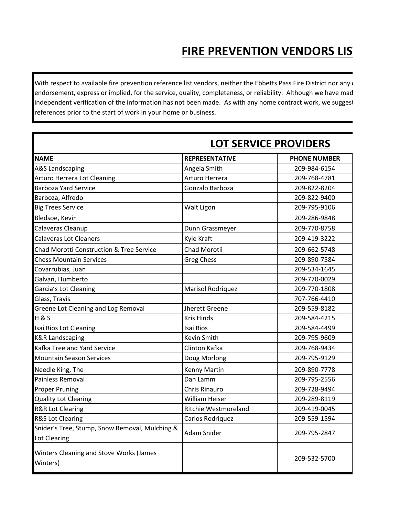## **FIRE PREVENTION VENDORS LIST**

With respect to available fire prevention reference list vendors, neither the Ebbetts Pass Fire District nor any o endorsement, express or implied, for the service, quality, completeness, or reliability. Although we have mad independent verification of the information has not been made. As with any home contract work, we suggest references prior to the start of work in your home or business.

|                                                                | <b>LOT SERVICE PROVIDERS</b> |                     |  |
|----------------------------------------------------------------|------------------------------|---------------------|--|
| <b>NAME</b>                                                    | <b>REPRESENTATIVE</b>        | <b>PHONE NUMBER</b> |  |
| <b>A&amp;S Landscaping</b>                                     | Angela Smith                 | 209-984-6154        |  |
| Arturo Herrera Lot Cleaning                                    | Arturo Herrera               | 209-768-4781        |  |
| <b>Barboza Yard Service</b>                                    | Gonzalo Barboza              | 209-822-8204        |  |
| Barboza, Alfredo                                               |                              | 209-822-9400        |  |
| <b>Big Trees Service</b>                                       | Walt Ligon                   | 209-795-9106        |  |
| Bledsoe, Kevin                                                 |                              | 209-286-9848        |  |
| Calaveras Cleanup                                              | Dunn Grassmeyer              | 209-770-8758        |  |
| <b>Calaveras Lot Cleaners</b>                                  | Kyle Kraft                   | 209-419-3222        |  |
| Chad Morotti Construction & Tree Service                       | Chad Morotii                 | 209-662-5748        |  |
| <b>Chess Mountain Services</b>                                 | <b>Greg Chess</b>            | 209-890-7584        |  |
| Covarrubias, Juan                                              |                              | 209-534-1645        |  |
| Galvan, Humberto                                               |                              | 209-770-0029        |  |
| Garcia's Lot Cleaning                                          | <b>Marisol Rodriquez</b>     | 209-770-1808        |  |
| Glass, Travis                                                  |                              | 707-766-4410        |  |
| Greene Lot Cleaning and Log Removal                            | Jherett Greene               | 209-559-8182        |  |
| <b>H&amp;S</b>                                                 | <b>Kris Hinds</b>            | 209-584-4215        |  |
| Isai Rios Lot Cleaning                                         | <b>Isai Rios</b>             | 209-584-4499        |  |
| <b>K&amp;R Landscaping</b>                                     | <b>Kevin Smith</b>           | 209-795-9609        |  |
| Kafka Tree and Yard Service                                    | Clinton Kafka                | 209-768-9434        |  |
| <b>Mountain Season Services</b>                                | Doug Morlong                 | 209-795-9129        |  |
| Needle King, The                                               | <b>Kenny Martin</b>          | 209-890-7778        |  |
| Painless Removal                                               | Dan Lamm                     | 209-795-2556        |  |
| <b>Proper Pruning</b>                                          | Chris Rinauro                | 209-728-9494        |  |
| <b>Quality Lot Clearing</b>                                    | <b>William Heiser</b>        | 209-289-8119        |  |
| <b>R&amp;R Lot Clearing</b>                                    | <b>Ritchie Westmoreland</b>  | 209-419-0045        |  |
| <b>R&amp;S Lot Clearing</b>                                    | Carlos Rodriquez             | 209-559-1594        |  |
| Snider's Tree, Stump, Snow Removal, Mulching &<br>Lot Clearing | <b>Adam Snider</b>           | 209-795-2847        |  |
| <b>Winters Cleaning and Stove Works (James</b><br>Winters)     |                              | 209-532-5700        |  |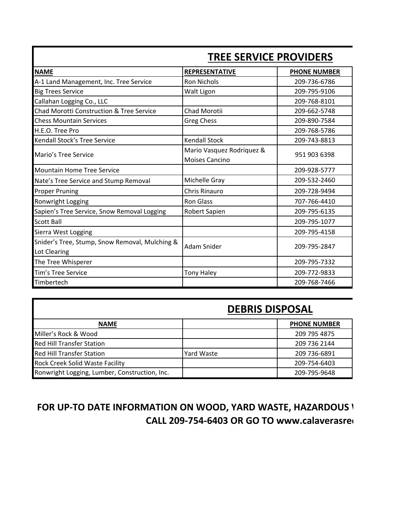| <b>TREE SERVICE PROVIDERS</b>                                  |                                                    |                     |
|----------------------------------------------------------------|----------------------------------------------------|---------------------|
| <b>NAME</b>                                                    | <b>REPRESENTATIVE</b>                              | <b>PHONE NUMBER</b> |
| A-1 Land Management, Inc. Tree Service                         | <b>Ron Nichols</b>                                 | 209-736-6786        |
| <b>Big Trees Service</b>                                       | Walt Ligon                                         | 209-795-9106        |
| Callahan Logging Co., LLC                                      |                                                    | 209-768-8101        |
| Chad Morotti Construction & Tree Service                       | Chad Morotii                                       | 209-662-5748        |
| <b>Chess Mountain Services</b>                                 | <b>Greg Chess</b>                                  | 209-890-7584        |
| H.E.O. Tree Pro                                                |                                                    | 209-768-5786        |
| <b>Kendall Stock's Tree Service</b>                            | <b>Kendall Stock</b>                               | 209-743-8813        |
| Mario's Tree Service                                           | Mario Vasquez Rodriquez &<br><b>Moises Cancino</b> | 951 903 6398        |
| <b>Mountain Home Tree Service</b>                              |                                                    | 209-928-5777        |
| Nate's Tree Service and Stump Removal                          | Michelle Gray                                      | 209-532-2460        |
| <b>Proper Pruning</b>                                          | <b>Chris Rinauro</b>                               | 209-728-9494        |
| Ronwright Logging                                              | <b>Ron Glass</b>                                   | 707-766-4410        |
| Sapien's Tree Service, Snow Removal Logging                    | Robert Sapien                                      | 209-795-6135        |
| Scott Ball                                                     |                                                    | 209-795-1077        |
| Sierra West Logging                                            |                                                    | 209-795-4158        |
| Snider's Tree, Stump, Snow Removal, Mulching &<br>Lot Clearing | Adam Snider                                        | 209-795-2847        |
| The Tree Whisperer                                             |                                                    | 209-795-7332        |
| Tim's Tree Service                                             | <b>Tony Haley</b>                                  | 209-772-9833        |
| Timbertech                                                     |                                                    | 209-768-7466        |

### **TREE SERVICE PROVIDERS**

#### **DEBRIS DISPOSAL**

| <b>NAME</b>                                   |            | <b>PHONE NUMBER</b> |
|-----------------------------------------------|------------|---------------------|
| Miller's Rock & Wood                          |            | 209 795 4875        |
| <b>Red Hill Transfer Station</b>              |            | 209 736 2144        |
| <b>Red Hill Transfer Station</b>              | Yard Waste | 209 736-6891        |
| <b>Rock Creek Solid Waste Facility</b>        |            | 209-754-6403        |
| Ronwright Logging, Lumber, Construction, Inc. |            | 209-795-9648        |

#### **FOR UP-TO DATE INFORMATION ON WOOD, YARD WASTE, HAZARDOUS \ CALL 209-754-6403 OR GO TO www.calaverasred.**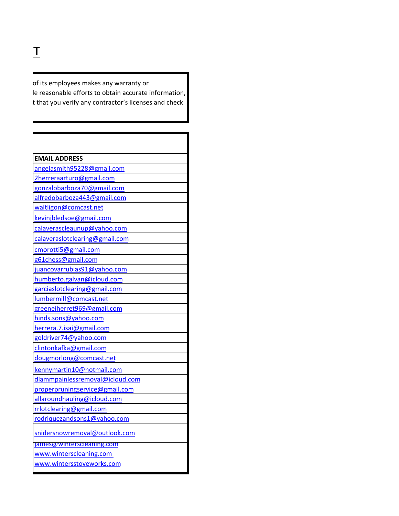**FIRE** 

of its employees makes any warranty or le reasonable efforts to obtain accurate information, t that you verify any contractor's licenses and check

| <b>EMAIL ADDRESS</b>             |
|----------------------------------|
| angelasmith95228@gmail.com       |
| 2herreraarturo@gmail.com         |
| gonzalobarboza70@gmail.com       |
| alfredobarboza443@gmail.com      |
| waltligon@comcast.net            |
| kevinjbledsoe@gmail.com          |
| calaverascleaunup@yahoo.com      |
| calaveraslotclearing@gmail.com   |
| cmorotti5@gmail.com              |
| g61chess@gmail.com               |
| juancovarrubias91@yahoo.com      |
| humberto.galvan@icloud.com       |
| garciaslotclearing@gmail.com     |
| lumbermill@comcast.net           |
| greenejherret969@gmail.com       |
| hinds.sons@yahoo.com             |
| herrera. 7. isai@gmail.com       |
| goldriver74@yahoo.com            |
| clintonkafka@gmail.com           |
| dougmorlong@comcast.net          |
| kennymartin10@hotmail.com        |
| dlammpainlessremoval@icloud.com  |
| properpruningservice@gmail.com   |
| allaroundhauling@icloud.com      |
| rrlotclearing@gmail.com          |
| rodriquezandsons1@yahoo.com      |
| snidersnowremoval@outlook.com    |
| <u> ames@winterscleaning.com</u> |
| www.winterscleaning.com          |
| www.wintersstoveworks.com        |
|                                  |